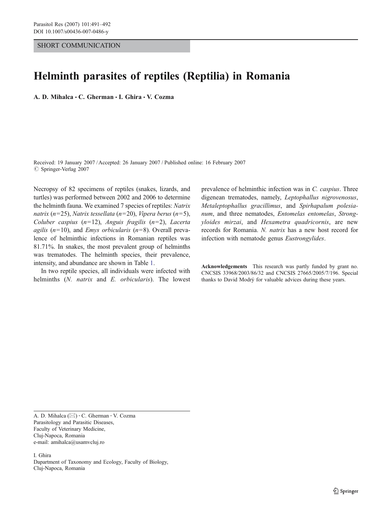## SHORT COMMUNICATION

## Helminth parasites of reptiles (Reptilia) in Romania

A. D. Mihalca · C. Gherman · I. Ghira · V. Cozma

Received: 19 January 2007 /Accepted: 26 January 2007 / Published online: 16 February 2007  $©$  Springer-Verlag 2007

Necropsy of 82 specimens of reptiles (snakes, lizards, and turtles) was performed between 2002 and 2006 to determine the helminth fauna. We examined 7 species of reptiles: Natrix natrix (n=25), Natrix tessellata (n=20), Vipera berus (n=5), Coluber caspius  $(n=12)$ , Anguis fragilis  $(n=2)$ , Lacerta agilis ( $n=10$ ), and *Emys orbicularis* ( $n=8$ ). Overall prevalence of helminthic infections in Romanian reptiles was 81.71%. In snakes, the most prevalent group of helminths was trematodes. The helminth species, their prevalence, intensity, and abundance are shown in Table [1](#page-1-0).

In two reptile species, all individuals were infected with helminths (N. natrix and E. orbicularis). The lowest prevalence of helminthic infection was in C. caspius. Three digenean trematodes, namely, Leptophallus nigrovenosus, Metaleptophallus gracillimus, and Spirhapalum polesianum, and three nematodes, Entomelas entomelas, Strongyloides mirzai, and Hexametra quadricornis, are new records for Romania. N. natrix has a new host record for infection with nematode genus Eustrongylides.

Acknowledgements This research was partly funded by grant no. CNCSIS 33968/2003/86/32 and CNCSIS 27665/2005/7/196. Special thanks to David Modrý for valuable advices during these years.

A. D. Mihalca ( $\boxtimes$ ) · C. Gherman · V. Cozma Parasitology and Parasitic Diseases, Faculty of Veterinary Medicine, Cluj-Napoca, Romania e-mail: amihalca@usamvcluj.ro

I. Ghira Dapartment of Taxonomy and Ecology, Faculty of Biology, Cluj-Napoca, Romania